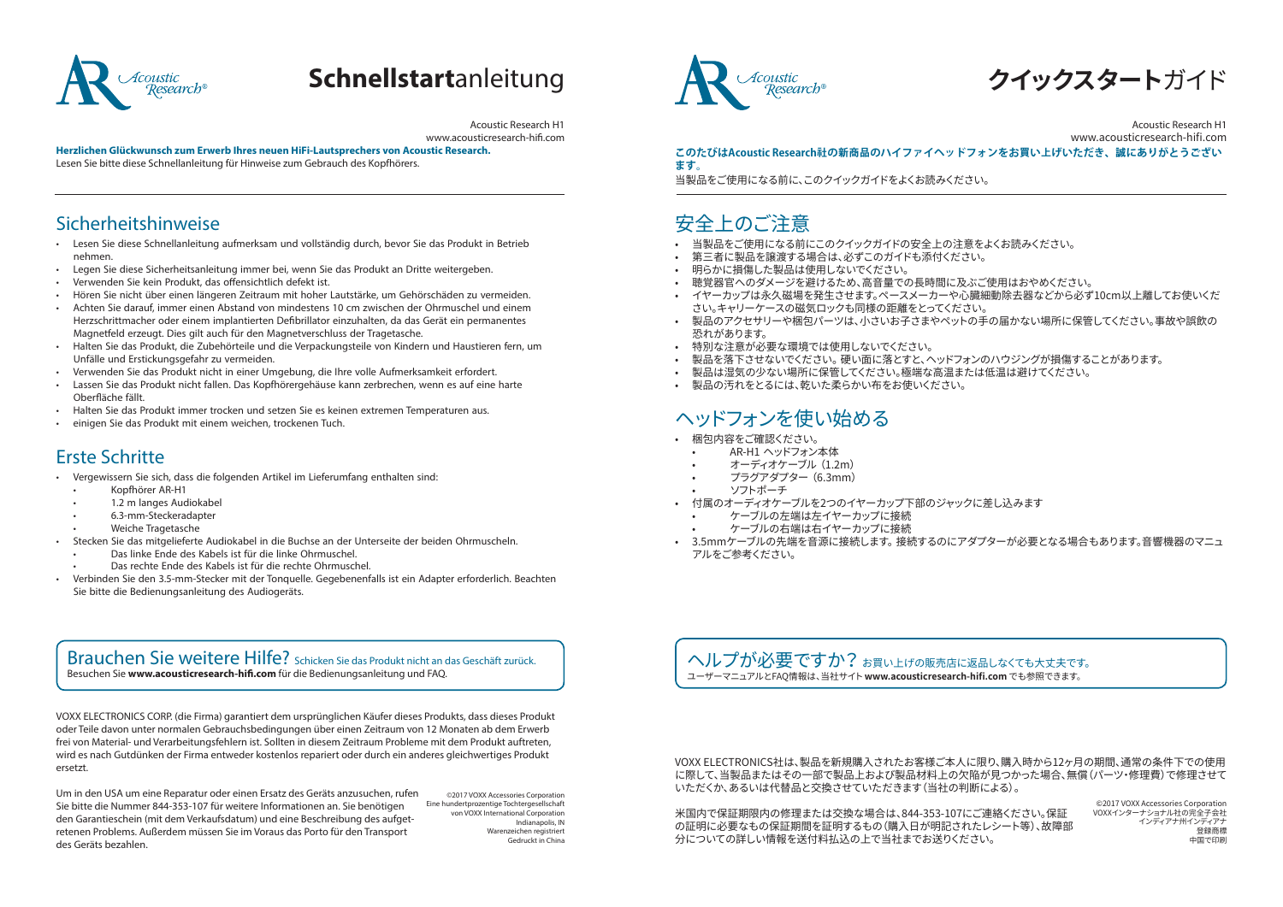

# **Schnellstart**anleitung

Acoustic Research H1 www.acousticresearch-hifi.com

**Herzlichen Glückwunsch zum Erwerb Ihres neuen HiFi-Lautsprechers von Acoustic Research.**  Lesen Sie bitte diese Schnellanleitung für Hinweise zum Gebrauch des Kopfhörers.

#### Sicherheitshinweise

- Lesen Sie diese Schnellanleitung aufmerksam und vollständig durch, bevor Sie das Produkt in Betrieb nehmen.
- Legen Sie diese Sicherheitsanleitung immer bei, wenn Sie das Produkt an Dritte weitergeben.
- Verwenden Sie kein Produkt, das offensichtlich defekt ist.
- Hören Sie nicht über einen längeren Zeitraum mit hoher Lautstärke, um Gehörschäden zu vermeiden.
- Achten Sie darauf, immer einen Abstand von mindestens 10 cm zwischen der Ohrmuschel und einem Herzschrittmacher oder einem implantierten Defibrillator einzuhalten, da das Gerät ein permanentes Magnetfeld erzeugt. Dies gilt auch für den Magnetverschluss der Tragetasche.
- Halten Sie das Produkt, die Zubehörteile und die Verpackungsteile von Kindern und Haustieren fern, um Unfälle und Erstickungsgefahr zu vermeiden.
- Verwenden Sie das Produkt nicht in einer Umgebung, die Ihre volle Aufmerksamkeit erfordert.
- Lassen Sie das Produkt nicht fallen. Das Kopfhörergehäuse kann zerbrechen, wenn es auf eine harte Oberfläche fällt.
- Halten Sie das Produkt immer trocken und setzen Sie es keinen extremen Temperaturen aus.
- einigen Sie das Produkt mit einem weichen, trockenen Tuch.

### Erste Schritte

- Vergewissern Sie sich, dass die folgenden Artikel im Lieferumfang enthalten sind:
- Kopfhörer AR-H1
- 1.2 m langes Audiokabel
- 6.3-mm-Steckeradapter
- Weiche Tragetasche
- Stecken Sie das mitgelieferte Audiokabel in die Buchse an der Unterseite der beiden Ohrmuscheln.
- Das linke Ende des Kabels ist für die linke Ohrmuschel.
- Das rechte Ende des Kabels ist für die rechte Ohrmuschel.
- Verbinden Sie den 3.5-mm-Stecker mit der Tonquelle. Gegebenenfalls ist ein Adapter erforderlich. Beachten Sie bitte die Bedienungsanleitung des Audiogeräts.

#### Brauchen Sie weitere Hilfe? Schicken Sie das Produkt nicht an das Geschäft zurück. Besuchen Sie **www.acousticresearch-hifi.com** für die Bedienungsanleitung und FAQ.

VOXX ELECTRONICS CORP. (die Firma) garantiert dem ursprünglichen Käufer dieses Produkts, dass dieses Produkt oder Teile davon unter normalen Gebrauchsbedingungen über einen Zeitraum von 12 Monaten ab dem Erwerb frei von Material- und Verarbeitungsfehlern ist. Sollten in diesem Zeitraum Probleme mit dem Produkt auftreten, wird es nach Gutdünken der Firma entweder kostenlos repariert oder durch ein anderes gleichwertiges Produkt ersetzt.

Um in den USA um eine Reparatur oder einen Ersatz des Geräts anzusuchen, rufen Sie bitte die Nummer 844-353-107 für weitere Informationen an. Sie benötigen den Garantieschein (mit dem Verkaufsdatum) und eine Beschreibung des aufgetretenen Problems. Außerdem müssen Sie im Voraus das Porto für den Transport des Geräts bezahlen.

©2017 VOXX Accessories Corporation Eine hundertprozentige Tochtergesellschaft von VOXX International Corporation Indianapolis, IN Warenzeichen registriert Gedruckt in China



**クイックスタート**ガイド

Acoustic Research H1 www.acousticresearch-hifi.com

**このたびはAcoustic Research社の新商品のハイファイヘッドフォンをお買い上げいただき、誠にありがとうござい ます。**

当製品をご使用になる前に、このクイックガイドをよくお読みください。

## 安全上のご注意

- 当製品をご使用になる前にこのクイックガイドの安全上の注意をよくお読みください。
- 第三者に製品を譲渡する場合は、必ずこのガイドも添付ください。
- 明らかに損傷した製品は使用しないでください。
- 聴覚器官へのダメージを避けるため、高音量での長時間に及ぶご使用はおやめください。
- イヤーカップは永久磁場を発生させます。ペースメーカーや心臓細動除去器などから必ず10cm以上離してお使いくだ さい。キャリーケースの磁気ロックも同様の距離をとってください。
- 製品のアクセサリーや梱包パーツは、小さいお子さまやペットの手の届かない場所に保管してください。事故や誤飲の 恐れがあります。
- 特別な注意が必要な環境では使用しないでください。
- 製品を落下させないでください。 硬い面に落とすと、ヘッドフォンのハウジングが損傷することがあります。
- 製品は湿気の少ない場所に保管してください。極端な高温または低温は避けてください。
- 製品の汚れをとるには、乾いた柔らかい布をお使いください。

## ヘッドフォンを使い始める

- 梱包内容をご確認ください。
- AR-H1 ヘッドフォン本体
- オーディオケーブル (1.2m)
- プラグアダプター (6.3mm)
- ソフトポーチ
- 付属のオーディオケーブルを2つのイヤーカップ下部のジャックに差し込みます
	- ケーブルの左端は左イヤーカップに接続
	- ケーブルの右端は右イヤーカップに接続
- 3.5mmケーブルの先端を音源に接続します。 接続するのにアダプターが必要となる場合もあります。音響機器のマニュ アルをご参考ください。

へルプが必要ですか? お買いトげの販売店に返品しなくても大丈夫です。 ユーザーマニュアルとFAQ情報は、当社サイト **www.acousticresearch-hifi.com** でも参照できます。

VOXX ELECTRONICS社は、製品を新規購入されたお客様ご本人に限り、購入時から12ヶ月の期間、通常の条件下での使用 に際して、当製品またはその一部で製品上および製品材料上の欠陥が見つかった場合、無償(パーツ・修理費)で修理させて いただくか、あるいは代替品と交換させていただきます(当社の判断による)。

米国内で保証期限内の修理または交換な場合は、844-353-107にご連絡ください。保証 の証明に必要なもの保証期間を証明するもの(購入日が明記されたレシート等)、故障部 分についての詳しい情報を送付料払込の上で当社までお送りください。

©2017 VOXX Accessories Corporation VOXXインターナショナル社の完全子会社 インディアナ州インディアナ 登録商標 中国で印刷